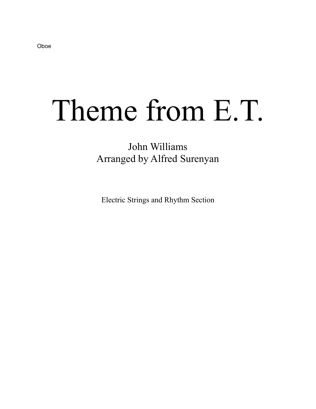## Theme from E.T.

## John Williams Arranged by Alfred Surenyan

Electric Strings and Rhythm Section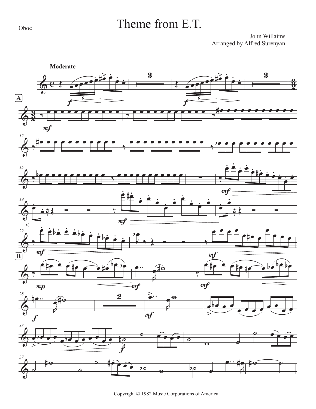Oboe

## Theme from E.T.

John Willaims Arranged by Alfred Surenyan



Copyright © 1982 Music Corporations of America